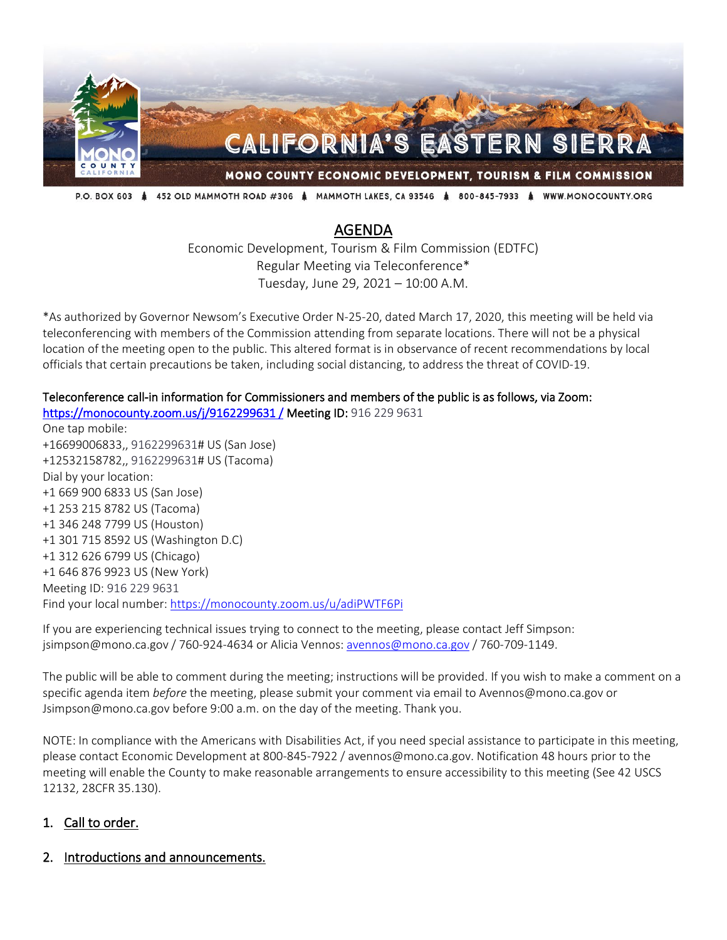

P.O. BOX 603 & 452 OLD MAMMOTH ROAD #306 & MAMMOTH LAKES, CA 93546 & 800-845-7933 & WWW.MONOCOUNTY.ORG

# AGENDA

Economic Development, Tourism & Film Commission (EDTFC) Regular Meeting via Teleconference\* Tuesday, June 29, 2021 – 10:00 A.M.

\*As authorized by Governor Newsom's Executive Order N-25-20, dated March 17, 2020, this meeting will be held via teleconferencing with members of the Commission attending from separate locations. There will not be a physical location of the meeting open to the public. This altered format is in observance of recent recommendations by local officials that certain precautions be taken, including social distancing, to address the threat of COVID-19.

#### Teleconference call-in information for Commissioners and members of the public is as follows, via Zoom: [https://monocounty.zoom.us/j/9162299631 /](https://monocounty.zoom.us/j/9162299631%C2%A0/) Meeting ID: 916 229 9631

One tap mobile: +16699006833,, 9162299631# US (San Jose) +12532158782,, 9162299631# US (Tacoma) Dial by your location: +1 669 900 6833 US (San Jose) +1 253 215 8782 US (Tacoma) +1 346 248 7799 US (Houston) +1 301 715 8592 US (Washington D.C) +1 312 626 6799 US (Chicago) +1 646 876 9923 US (New York) Meeting ID: 916 229 9631 Find your local number[: https://monocounty.zoom.us/u/adiPWTF6Pi](https://monocounty.zoom.us/u/adiPWTF6Pi)

If you are experiencing technical issues trying to connect to the meeting, please contact Jeff Simpson: jsimpson@mono.ca.gov / 760-924-4634 or Alicia Vennos: [avennos@mono.ca.gov](mailto:avennos@mono.ca.gov) / 760-709-1149.

The public will be able to comment during the meeting; instructions will be provided. If you wish to make a comment on a specific agenda item *before* the meeting, please submit your comment via email to Avennos@mono.ca.gov or Jsimpson@mono.ca.gov before 9:00 a.m. on the day of the meeting. Thank you.

NOTE: In compliance with the Americans with Disabilities Act, if you need special assistance to participate in this meeting, please contact Economic Development at 800-845-7922 / avennos@mono.ca.gov. Notification 48 hours prior to the meeting will enable the County to make reasonable arrangements to ensure accessibility to this meeting (See 42 USCS 12132, 28CFR 35.130).

#### 1. Call to order.

2. Introductions and announcements.